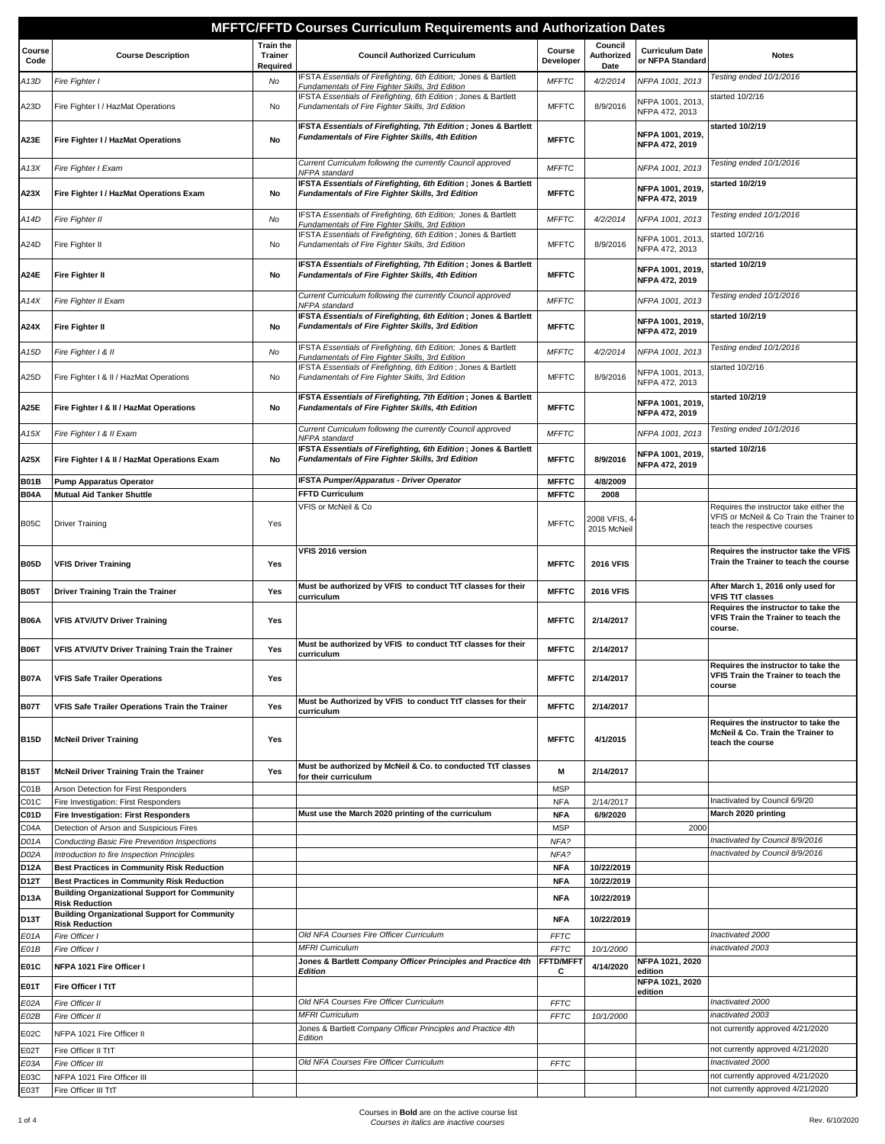|                            |                                                                                                           |                                                | <b>MFFTC/FFTD Courses Curriculum Requirements and Authorization Dates</b>                                           |                              |                                      |                                            |                                                                                                                     |
|----------------------------|-----------------------------------------------------------------------------------------------------------|------------------------------------------------|---------------------------------------------------------------------------------------------------------------------|------------------------------|--------------------------------------|--------------------------------------------|---------------------------------------------------------------------------------------------------------------------|
| Course<br>Code             | <b>Course Description</b>                                                                                 | <b>Train the</b><br><b>Trainer</b><br>Required | <b>Council Authorized Curriculum</b>                                                                                | Course<br>Developer          | Council<br>Authorized<br>Date        | <b>Curriculum Date</b><br>or NFPA Standard | <b>Notes</b>                                                                                                        |
| A 13D                      | Fire Fighter I                                                                                            | No                                             | FSTA Essentials of Firefighting, 6th Edition; Jones & Bartlett<br>Fundamentals of Fire Fighter Skills, 3rd Edition  | <b>MFFTC</b>                 | 4/2/2014                             | NFPA 1001, 2013                            | Testing ended 10/1/2016                                                                                             |
| A23D                       | Fire Fighter I / HazMat Operations                                                                        | No                                             | IFSTA Essentials of Firefighting, 6th Edition; Jones & Bartlett<br>Fundamentals of Fire Fighter Skills, 3rd Edition | <b>MFFTC</b>                 | 8/9/2016                             | NFPA 1001, 2013,<br>NFPA 472, 2013         | started 10/2/16                                                                                                     |
| A23E                       | Fire Fighter I / HazMat Operations                                                                        | No                                             | IFSTA Essentials of Firefighting, 7th Edition; Jones & Bartlett<br>Fundamentals of Fire Fighter Skills, 4th Edition | <b>MFFTC</b>                 |                                      | NFPA 1001, 2019,<br>NFPA 472, 2019         | started 10/2/19                                                                                                     |
| A13X                       | Fire Fighter I Exam                                                                                       |                                                | Current Curriculum following the currently Council approved<br>NFPA standard                                        | <b>MFFTC</b>                 |                                      | NFPA 1001, 2013                            | Testing ended 10/1/2016                                                                                             |
| A23X                       | Fire Fighter I / HazMat Operations Exam                                                                   | No                                             | IFSTA Essentials of Firefighting, 6th Edition; Jones & Bartlett<br>Fundamentals of Fire Fighter Skills, 3rd Edition | <b>MFFTC</b>                 |                                      | NFPA 1001, 2019,<br>NFPA 472, 2019         | started 10/2/19                                                                                                     |
| A14D                       | Fire Fighter II                                                                                           | No                                             | IFSTA Essentials of Firefighting, 6th Edition; Jones & Bartlett<br>Fundamentals of Fire Fighter Skills, 3rd Edition | <b>MFFTC</b>                 | 4/2/2014                             | NFPA 1001, 2013                            | Testing ended 10/1/2016                                                                                             |
| A24D                       | Fire Fighter II                                                                                           | No                                             | IFSTA Essentials of Firefighting, 6th Edition; Jones & Bartlett<br>Fundamentals of Fire Fighter Skills, 3rd Edition | <b>MFFTC</b>                 | 8/9/2016                             | NFPA 1001, 2013,<br>NFPA 472, 2013         | started 10/2/16                                                                                                     |
| A24E                       | <b>Fire Fighter II</b>                                                                                    | No                                             | IFSTA Essentials of Firefighting, 7th Edition; Jones & Bartlett<br>Fundamentals of Fire Fighter Skills, 4th Edition | <b>MFFTC</b>                 |                                      | NFPA 1001, 2019,<br>NFPA 472, 2019         | started 10/2/19                                                                                                     |
| A14X                       | Fire Fighter II Exam                                                                                      |                                                | Current Curriculum following the currently Council approved<br>NFPA standard                                        | <b>MFFTC</b>                 |                                      | NFPA 1001, 2013                            | Testing ended 10/1/2016                                                                                             |
| A24X                       | Fire Fighter II                                                                                           | No                                             | IFSTA Essentials of Firefighting, 6th Edition; Jones & Bartlett<br>Fundamentals of Fire Fighter Skills, 3rd Edition | <b>MFFTC</b>                 |                                      | NFPA 1001, 2019,<br>NFPA 472, 2019         | started 10/2/19                                                                                                     |
| A15D                       | Fire Fighter I & II                                                                                       | No                                             | IFSTA Essentials of Firefighting, 6th Edition; Jones & Bartlett<br>Fundamentals of Fire Fighter Skills, 3rd Edition | <b>MFFTC</b>                 | 4/2/2014                             | NFPA 1001, 2013                            | Testing ended 10/1/2016                                                                                             |
| A25D                       | Fire Fighter I & II / HazMat Operations                                                                   | No                                             | IFSTA Essentials of Firefighting, 6th Edition; Jones & Bartlett<br>Fundamentals of Fire Fighter Skills, 3rd Edition | <b>MFFTC</b>                 | 8/9/2016                             | NFPA 1001, 2013,<br>NFPA 472, 2013         | started 10/2/16                                                                                                     |
| A25E                       | Fire Fighter I & II / HazMat Operations                                                                   | No                                             | IFSTA Essentials of Firefighting, 7th Edition; Jones & Bartlett<br>Fundamentals of Fire Fighter Skills, 4th Edition | <b>MFFTC</b>                 |                                      | NFPA 1001, 2019,<br>NFPA 472, 2019         | started 10/2/19                                                                                                     |
| A15X                       | Fire Fighter I & II Exam                                                                                  |                                                | Current Curriculum following the currently Council approved<br>NFPA standard                                        | <b>MFFTC</b>                 |                                      | NFPA 1001, 2013                            | Testing ended 10/1/2016                                                                                             |
| A25X                       | Fire Fighter I & II / HazMat Operations Exam                                                              | No                                             | IFSTA Essentials of Firefighting, 6th Edition; Jones & Bartlett<br>Fundamentals of Fire Fighter Skills, 3rd Edition | <b>MFFTC</b>                 | 8/9/2016                             | NFPA 1001, 2019,<br>NFPA 472, 2019         | started 10/2/16                                                                                                     |
| <b>B01B</b><br><b>B04A</b> | <b>Pump Apparatus Operator</b><br><b>Mutual Aid Tanker Shuttle</b>                                        |                                                | <b>IFSTA Pumper/Apparatus - Driver Operator</b><br><b>FFTD Curriculum</b>                                           | <b>MFFTC</b><br><b>MFFTC</b> | 4/8/2009<br>2008                     |                                            |                                                                                                                     |
| <b>B05C</b>                | Driver Training                                                                                           | Yes                                            | VFIS or McNeil & Co                                                                                                 | <b>MFFTC</b>                 | 2008 VFIS, 4<br>2015 McNeil          |                                            | Requires the instructor take either the<br>VFIS or McNeil & Co Train the Trainer to<br>teach the respective courses |
|                            |                                                                                                           |                                                | VFIS 2016 version                                                                                                   | <b>MFFTC</b>                 |                                      |                                            | Requires the instructor take the VFIS<br>Train the Trainer to teach the course                                      |
| <b>B05D</b><br><b>B05T</b> | <b>VFIS Driver Training</b><br><b>Driver Training Train the Trainer</b>                                   | Yes<br>Yes                                     | Must be authorized by VFIS to conduct TtT classes for their                                                         | <b>MFFTC</b>                 | <b>2016 VFIS</b><br><b>2016 VFIS</b> |                                            | After March 1, 2016 only used for                                                                                   |
|                            |                                                                                                           |                                                | curriculum                                                                                                          |                              |                                      |                                            | <b>VFIS TtT classes</b><br>Requires the instructor to take the                                                      |
| <b>B06A</b>                | <b>VFIS ATV/UTV Driver Training</b>                                                                       | Yes                                            |                                                                                                                     | <b>MFFTC</b>                 | 2/14/2017                            |                                            | VFIS Train the Trainer to teach the<br>course.                                                                      |
| <b>B06T</b>                | VFIS ATV/UTV Driver Training Train the Trainer                                                            | Yes                                            | Must be authorized by VFIS to conduct TtT classes for their<br>curriculum                                           | <b>MFFTC</b>                 | 2/14/2017                            |                                            |                                                                                                                     |
| <b>B07A</b>                | <b>VFIS Safe Trailer Operations</b>                                                                       | Yes                                            |                                                                                                                     | <b>MFFTC</b>                 | 2/14/2017                            |                                            | Requires the instructor to take the<br>VFIS Train the Trainer to teach the<br>course                                |
| <b>B07T</b>                | VFIS Safe Trailer Operations Train the Trainer                                                            | Yes                                            | Must be Authorized by VFIS to conduct TtT classes for their<br>curriculum                                           | <b>MFFTC</b>                 | 2/14/2017                            |                                            |                                                                                                                     |
| <b>B15D</b>                | <b>McNeil Driver Training</b>                                                                             | Yes                                            |                                                                                                                     | <b>MFFTC</b>                 | 4/1/2015                             |                                            | Requires the instructor to take the<br>McNeil & Co. Train the Trainer to<br>teach the course                        |
| <b>B15T</b>                | McNeil Driver Training Train the Trainer                                                                  | Yes                                            | Must be authorized by McNeil & Co. to conducted TtT classes<br>for their curriculum                                 | M                            | 2/14/2017                            |                                            |                                                                                                                     |
| C01B                       | Arson Detection for First Responders                                                                      |                                                |                                                                                                                     | <b>MSP</b>                   |                                      |                                            |                                                                                                                     |
| C01C<br>C01D               | Fire Investigation: First Responders<br><b>Fire Investigation: First Responders</b>                       |                                                | Must use the March 2020 printing of the curriculum                                                                  | <b>NFA</b><br><b>NFA</b>     | 2/14/2017<br>6/9/2020                |                                            | Inactivated by Council 6/9/20<br>March 2020 printing                                                                |
| C04A                       | Detection of Arson and Suspicious Fires                                                                   |                                                |                                                                                                                     | <b>MSP</b>                   |                                      | 2000                                       |                                                                                                                     |
| D <sub>0</sub> 1A          | Conducting Basic Fire Prevention Inspections                                                              |                                                |                                                                                                                     | NFA?                         |                                      |                                            | Inactivated by Council 8/9/2016                                                                                     |
| D02A                       | Introduction to fire Inspection Principles                                                                |                                                |                                                                                                                     | NFA?                         |                                      |                                            | Inactivated by Council 8/9/2016                                                                                     |
| <b>D12A</b>                | <b>Best Practices in Community Risk Reduction</b>                                                         |                                                |                                                                                                                     | <b>NFA</b>                   | 10/22/2019                           |                                            |                                                                                                                     |
| D12T                       | <b>Best Practices in Community Risk Reduction</b><br><b>Building Organizational Support for Community</b> |                                                |                                                                                                                     | <b>NFA</b>                   | 10/22/2019                           |                                            |                                                                                                                     |
| <b>D13A</b>                | <b>Risk Reduction</b><br><b>Building Organizational Support for Community</b>                             |                                                |                                                                                                                     | <b>NFA</b>                   | 10/22/2019                           |                                            |                                                                                                                     |
| D13T                       | <b>Risk Reduction</b>                                                                                     |                                                |                                                                                                                     | <b>NFA</b>                   | 10/22/2019                           |                                            |                                                                                                                     |
| E01A                       | Fire Officer I                                                                                            |                                                | Old NFA Courses Fire Officer Curriculum<br><b>MFRI Curriculum</b>                                                   | <b>FFTC</b>                  |                                      |                                            | Inactivated 2000<br>inactivated 2003                                                                                |
| E01B                       | Fire Officer I                                                                                            |                                                | Jones & Bartlett Company Officer Principles and Practice 4th                                                        | <b>FFTC</b><br>FFTD/MFF1     | 10/1/2000                            | NFPA 1021, 2020                            |                                                                                                                     |
| <b>E01C</b>                | NFPA 1021 Fire Officer I                                                                                  |                                                | Edition                                                                                                             | С                            | 4/14/2020                            | edition<br>NFPA 1021, 2020                 |                                                                                                                     |
| E01T                       | Fire Officer I TtT                                                                                        |                                                | Old NFA Courses Fire Officer Curriculum                                                                             |                              |                                      | edition                                    | Inactivated 2000                                                                                                    |
| E02A<br>E02B               | Fire Officer II<br>Fire Officer II                                                                        |                                                | <b>MFRI Curriculum</b>                                                                                              | <b>FFTC</b><br><b>FFTC</b>   | 10/1/2000                            |                                            | inactivated 2003                                                                                                    |
| E02C                       | NFPA 1021 Fire Officer II                                                                                 |                                                | Jones & Bartlett Company Officer Principles and Practice 4th                                                        |                              |                                      |                                            | not currently approved 4/21/2020                                                                                    |
| E02T                       | Fire Officer II TtT                                                                                       |                                                | Edition                                                                                                             |                              |                                      |                                            | not currently approved 4/21/2020                                                                                    |
| E03A                       | Fire Officer III                                                                                          |                                                | Old NFA Courses Fire Officer Curriculum                                                                             | <b>FFTC</b>                  |                                      |                                            | Inactivated 2000                                                                                                    |
| E03C                       | NFPA 1021 Fire Officer III                                                                                |                                                |                                                                                                                     |                              |                                      |                                            | not currently approved 4/21/2020                                                                                    |
| E03T                       | Fire Officer III TtT                                                                                      |                                                |                                                                                                                     |                              |                                      |                                            | not currently approved 4/21/2020                                                                                    |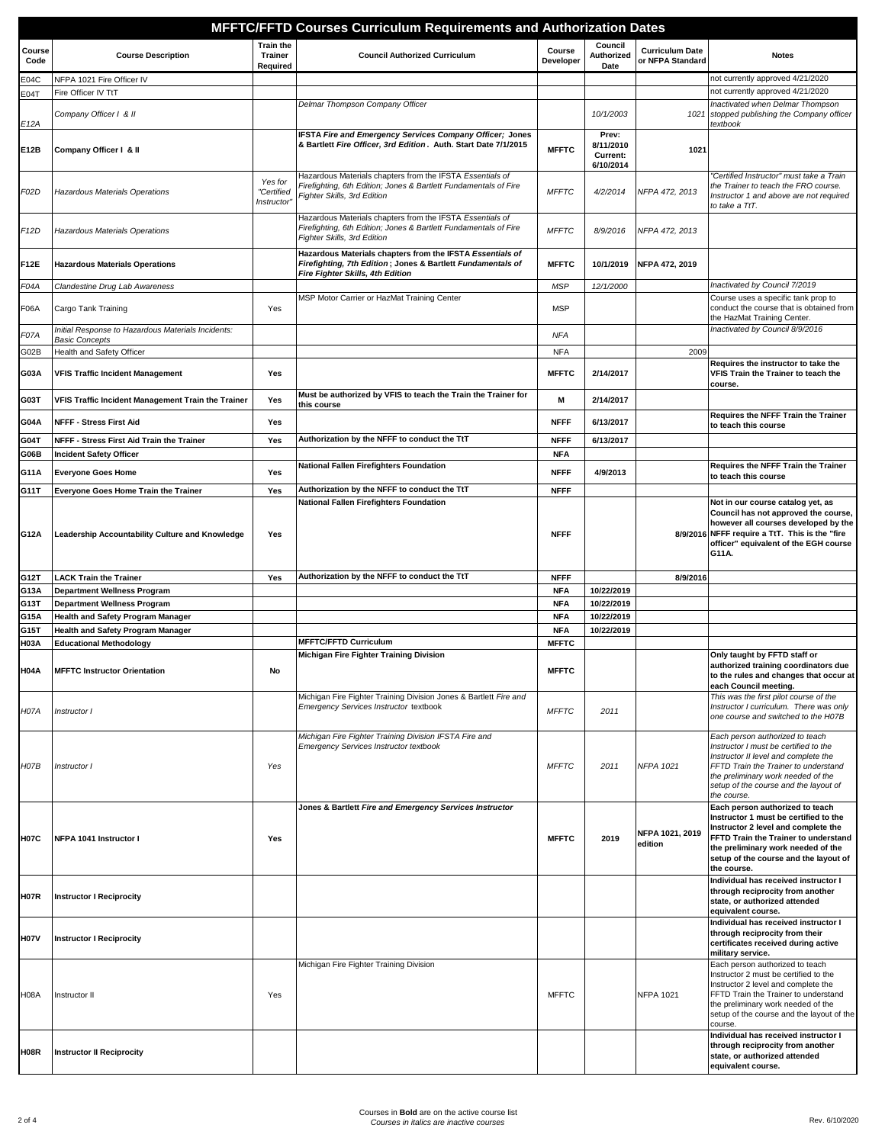|                     |                                                                             |                                                | MFFTC/FFTD Courses Curriculum Requirements and Authorization Dates                                                                                           |                            |                                             |                                            |                                                                                                                                                                                                                                                                                               |
|---------------------|-----------------------------------------------------------------------------|------------------------------------------------|--------------------------------------------------------------------------------------------------------------------------------------------------------------|----------------------------|---------------------------------------------|--------------------------------------------|-----------------------------------------------------------------------------------------------------------------------------------------------------------------------------------------------------------------------------------------------------------------------------------------------|
| Course<br>Code      | <b>Course Description</b>                                                   | <b>Train the</b><br><b>Trainer</b><br>Required | <b>Council Authorized Curriculum</b>                                                                                                                         | Course<br>Developer        | Council<br>Authorized<br>Date               | <b>Curriculum Date</b><br>or NFPA Standard | <b>Notes</b>                                                                                                                                                                                                                                                                                  |
| E04C                | NFPA 1021 Fire Officer IV                                                   |                                                |                                                                                                                                                              |                            |                                             |                                            | not currently approved 4/21/2020                                                                                                                                                                                                                                                              |
| E04T                | Fire Officer IV TtT                                                         |                                                |                                                                                                                                                              |                            |                                             |                                            | not currently approved 4/21/2020                                                                                                                                                                                                                                                              |
| E12A                | Company Officer   & II                                                      |                                                | Delmar Thompson Company Officer                                                                                                                              |                            | 10/1/2003                                   | 1021                                       | Inactivated when Delmar Thompson<br>stopped publishing the Company officer<br>textbook                                                                                                                                                                                                        |
| E12B                | Company Officer I & II                                                      |                                                | IFSTA Fire and Emergency Services Company Officer; Jones<br>& Bartlett Fire Officer, 3rd Edition. Auth. Start Date 7/1/2015                                  | <b>MFFTC</b>               | Prev:<br>8/11/2010<br>Current:<br>6/10/2014 | 1021                                       |                                                                                                                                                                                                                                                                                               |
| F02D                | Hazardous Materials Operations                                              | Yes for<br>"Certified<br>Instructor            | Hazardous Materials chapters from the IFSTA Essentials of<br>Firefighting, 6th Edition; Jones & Bartlett Fundamentals of Fire<br>Fighter Skills, 3rd Edition | <b>MFFTC</b>               | 4/2/2014                                    | NFPA 472, 2013                             | "Certified Instructor" must take a Train<br>the Trainer to teach the FRO course.<br>Instructor 1 and above are not required<br>to take a TtT.                                                                                                                                                 |
| F <sub>12</sub> D   | Hazardous Materials Operations                                              |                                                | Hazardous Materials chapters from the IFSTA Essentials of<br>Firefighting, 6th Edition; Jones & Bartlett Fundamentals of Fire<br>Fighter Skills, 3rd Edition | <b>MFFTC</b>               | 8/9/2016                                    | NFPA 472, 2013                             |                                                                                                                                                                                                                                                                                               |
| <b>F12E</b>         | <b>Hazardous Materials Operations</b>                                       |                                                | Hazardous Materials chapters from the IFSTA Essentials of<br>Firefighting, 7th Edition; Jones & Bartlett Fundamentals of<br>Fire Fighter Skills, 4th Edition | <b>MFFTC</b>               | 10/1/2019                                   | NFPA 472, 2019                             |                                                                                                                                                                                                                                                                                               |
| F04A                | Clandestine Drug Lab Awareness                                              |                                                |                                                                                                                                                              | <b>MSP</b>                 | 12/1/2000                                   |                                            | Inactivated by Council 7/2019                                                                                                                                                                                                                                                                 |
| <b>F06A</b>         | Cargo Tank Training                                                         | Yes                                            | MSP Motor Carrier or HazMat Training Center                                                                                                                  | <b>MSP</b>                 |                                             |                                            | Course uses a specific tank prop to<br>conduct the course that is obtained from<br>the HazMat Training Center.                                                                                                                                                                                |
| F07A                | Initial Response to Hazardous Materials Incidents:<br><b>Basic Concepts</b> |                                                |                                                                                                                                                              | <b>NFA</b>                 |                                             |                                            | Inactivated by Council 8/9/2016                                                                                                                                                                                                                                                               |
| G02B                | Health and Safety Officer                                                   |                                                |                                                                                                                                                              | <b>NFA</b>                 |                                             | 2009                                       |                                                                                                                                                                                                                                                                                               |
| G03A                | <b>VFIS Traffic Incident Management</b>                                     | Yes                                            |                                                                                                                                                              | <b>MFFTC</b>               | 2/14/2017                                   |                                            | Requires the instructor to take the<br>VFIS Train the Trainer to teach the<br>course.                                                                                                                                                                                                         |
| G03T                | VFIS Traffic Incident Management Train the Trainer                          | Yes                                            | Must be authorized by VFIS to teach the Train the Trainer for<br>this course                                                                                 | M                          | 2/14/2017                                   |                                            |                                                                                                                                                                                                                                                                                               |
| <b>G04A</b>         | NFFF - Stress First Aid                                                     | Yes                                            |                                                                                                                                                              | <b>NFFF</b>                | 6/13/2017                                   |                                            | Requires the NFFF Train the Trainer<br>to teach this course                                                                                                                                                                                                                                   |
| G04T                | NFFF - Stress First Aid Train the Trainer                                   | Yes                                            | Authorization by the NFFF to conduct the TtT                                                                                                                 | <b>NFFF</b>                | 6/13/2017                                   |                                            |                                                                                                                                                                                                                                                                                               |
| G06B                | <b>Incident Safety Officer</b>                                              |                                                |                                                                                                                                                              | <b>NFA</b>                 |                                             |                                            |                                                                                                                                                                                                                                                                                               |
| G11A                | <b>Everyone Goes Home</b>                                                   | Yes                                            | National Fallen Firefighters Foundation                                                                                                                      | <b>NFFF</b>                | 4/9/2013                                    |                                            | Requires the NFFF Train the Trainer<br>to teach this course                                                                                                                                                                                                                                   |
| G11T                | Everyone Goes Home Train the Trainer                                        | Yes                                            | Authorization by the NFFF to conduct the TtT                                                                                                                 | <b>NFFF</b>                |                                             |                                            |                                                                                                                                                                                                                                                                                               |
| G12A                | Leadership Accountability Culture and Knowledge                             | Yes                                            | <b>National Fallen Firefighters Foundation</b>                                                                                                               | <b>NFFF</b>                |                                             |                                            | Not in our course catalog yet, as<br>Council has not approved the course,<br>however all courses developed by the<br>8/9/2016 NFFF require a TtT. This is the "fire<br>officer" equivalent of the EGH course<br>G11A.                                                                         |
| G12T                | <b>LACK Train the Trainer</b>                                               | Yes                                            | Authorization by the NFFF to conduct the TtT                                                                                                                 | <b>NFFF</b>                |                                             | 8/9/2016                                   |                                                                                                                                                                                                                                                                                               |
| G13A                | Department Wellness Program                                                 |                                                |                                                                                                                                                              | <b>NFA</b>                 | 10/22/2019                                  |                                            |                                                                                                                                                                                                                                                                                               |
| G13T                | <b>Department Wellness Program</b>                                          |                                                |                                                                                                                                                              | <b>NFA</b>                 | 10/22/2019                                  |                                            |                                                                                                                                                                                                                                                                                               |
| G15A                | <b>Health and Safety Program Manager</b>                                    |                                                |                                                                                                                                                              | <b>NFA</b>                 | 10/22/2019                                  |                                            |                                                                                                                                                                                                                                                                                               |
| G15T<br><b>H03A</b> | <b>Health and Safety Program Manager</b><br><b>Educational Methodology</b>  |                                                | <b>MFFTC/FFTD Curriculum</b>                                                                                                                                 | <b>NFA</b><br><b>MFFTC</b> | 10/22/2019                                  |                                            |                                                                                                                                                                                                                                                                                               |
|                     |                                                                             |                                                | Michigan Fire Fighter Training Division                                                                                                                      |                            |                                             |                                            | Only taught by FFTD staff or                                                                                                                                                                                                                                                                  |
| <b>H04A</b>         | <b>MFFTC Instructor Orientation</b>                                         | No                                             |                                                                                                                                                              | <b>MFFTC</b>               |                                             |                                            | authorized training coordinators due<br>to the rules and changes that occur at<br>each Council meeting.                                                                                                                                                                                       |
| <b>H07A</b>         | Instructor I                                                                |                                                | Michigan Fire Fighter Training Division Jones & Bartlett Fire and<br><b>Emergency Services Instructor textbook</b>                                           | <b>MFFTC</b>               | 2011                                        |                                            | This was the first pilot course of the<br>Instructor I curriculum. There was only<br>one course and switched to the H07B                                                                                                                                                                      |
| H07B                | Instructor I                                                                | Yes                                            | Michigan Fire Fighter Training Division IFSTA Fire and<br><b>Emergency Services Instructor textbook</b>                                                      | <b>MFFTC</b>               | 2011                                        | NFPA 1021                                  | Each person authorized to teach<br>Instructor I must be certified to the<br>Instructor II level and complete the<br>FFTD Train the Trainer to understand<br>the preliminary work needed of the<br>setup of the course and the layout of<br>the course.                                        |
| <b>H07C</b>         | NFPA 1041 Instructor I                                                      | Yes                                            | Jones & Bartlett Fire and Emergency Services Instructor                                                                                                      | <b>MFFTC</b>               | 2019                                        | NFPA 1021, 2019<br>edition                 | Each person authorized to teach<br>Instructor 1 must be certified to the<br>Instructor 2 level and complete the<br>FFTD Train the Trainer to understand<br>the preliminary work needed of the<br>setup of the course and the layout of<br>the course.                                         |
| <b>H07R</b>         | Instructor I Reciprocity                                                    |                                                |                                                                                                                                                              |                            |                                             |                                            | Individual has received instructor I<br>through reciprocity from another<br>state, or authorized attended<br>equivalent course.                                                                                                                                                               |
| <b>H07V</b>         | <b>Instructor I Reciprocity</b>                                             |                                                |                                                                                                                                                              |                            |                                             |                                            | Individual has received instructor I<br>through reciprocity from their<br>certificates received during active<br>military service.                                                                                                                                                            |
| <b>H08A</b>         | Instructor II                                                               | Yes                                            | Michigan Fire Fighter Training Division                                                                                                                      | <b>MFFTC</b>               |                                             | <b>NFPA 1021</b>                           | Each person authorized to teach<br>Instructor 2 must be certified to the<br>Instructor 2 level and complete the<br>FFTD Train the Trainer to understand<br>the preliminary work needed of the<br>setup of the course and the layout of the<br>course.<br>Individual has received instructor I |
| <b>H08R</b>         | Instructor II Reciprocity                                                   |                                                |                                                                                                                                                              |                            |                                             |                                            | through reciprocity from another<br>state, or authorized attended<br>equivalent course.                                                                                                                                                                                                       |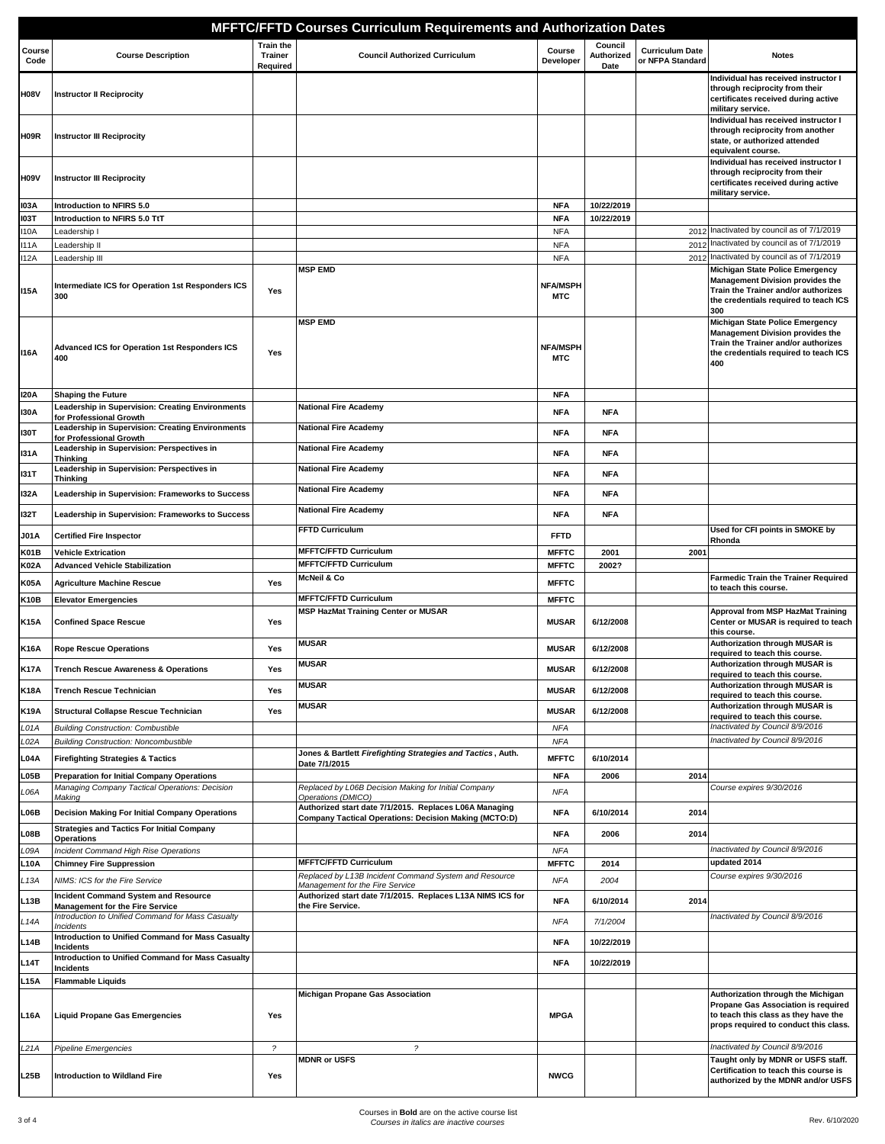|                |                                                                                                     |                                                | <b>MFFTC/FFTD Courses Curriculum Requirements and Authorization Dates</b>                                       |                               |                               |                                            |                                                                                                                                                                   |
|----------------|-----------------------------------------------------------------------------------------------------|------------------------------------------------|-----------------------------------------------------------------------------------------------------------------|-------------------------------|-------------------------------|--------------------------------------------|-------------------------------------------------------------------------------------------------------------------------------------------------------------------|
| Course<br>Code | <b>Course Description</b>                                                                           | <b>Train the</b><br><b>Trainer</b><br>Required | <b>Council Authorized Curriculum</b>                                                                            | Course<br>Developer           | Council<br>Authorized<br>Date | <b>Curriculum Date</b><br>or NFPA Standard | <b>Notes</b>                                                                                                                                                      |
| <b>H08V</b>    | <b>Instructor II Reciprocity</b>                                                                    |                                                |                                                                                                                 |                               |                               |                                            | Individual has received instructor I<br>through reciprocity from their<br>certificates received during active<br>military service.                                |
| H09R           | <b>Instructor III Reciprocity</b>                                                                   |                                                |                                                                                                                 |                               |                               |                                            | Individual has received instructor I<br>through reciprocity from another<br>state, or authorized attended<br>equivalent course.                                   |
| H09V           | <b>Instructor III Reciprocity</b>                                                                   |                                                |                                                                                                                 |                               |                               |                                            | Individual has received instructor I<br>through reciprocity from their<br>certificates received during active<br>military service.                                |
| <b>103A</b>    | Introduction to NFIRS 5.0                                                                           |                                                |                                                                                                                 | <b>NFA</b>                    | 10/22/2019                    |                                            |                                                                                                                                                                   |
| <b>103T</b>    | Introduction to NFIRS 5.0 TtT                                                                       |                                                |                                                                                                                 | <b>NFA</b>                    | 10/22/2019                    |                                            |                                                                                                                                                                   |
| 110A<br>111A   | Leadership I<br>Leadership II                                                                       |                                                |                                                                                                                 | <b>NFA</b><br><b>NFA</b>      |                               | 2012                                       | Inactivated by council as of 7/1/2019<br>2012 Inactivated by council as of 7/1/2019                                                                               |
| <b>I12A</b>    | Leadership III                                                                                      |                                                |                                                                                                                 | <b>NFA</b>                    |                               |                                            | 2012 Inactivated by council as of 7/1/2019                                                                                                                        |
| <b>115A</b>    | Intermediate ICS for Operation 1st Responders ICS<br>300                                            | Yes                                            | <b>MSP EMD</b>                                                                                                  | <b>NFA/MSPH</b><br>MTC        |                               |                                            | Michigan State Police Emergency<br><b>Management Division provides the</b><br>Train the Trainer and/or authorizes<br>the credentials required to teach ICS<br>300 |
| 116A           | <b>Advanced ICS for Operation 1st Responders ICS</b><br>400                                         | Yes                                            | <b>MSP EMD</b>                                                                                                  | <b>NFA/MSPH</b><br><b>MTC</b> |                               |                                            | Michigan State Police Emergency<br><b>Management Division provides the</b><br>Train the Trainer and/or authorizes<br>the credentials required to teach ICS<br>400 |
| 120 A          | <b>Shaping the Future</b>                                                                           |                                                |                                                                                                                 | <b>NFA</b>                    |                               |                                            |                                                                                                                                                                   |
| 130A           | Leadership in Supervision: Creating Environments<br>for Professional Growth                         |                                                | <b>National Fire Academy</b>                                                                                    | <b>NFA</b>                    | <b>NFA</b>                    |                                            |                                                                                                                                                                   |
| 130T           | Leadership in Supervision: Creating Environments                                                    |                                                | <b>National Fire Academy</b>                                                                                    | <b>NFA</b>                    | <b>NFA</b>                    |                                            |                                                                                                                                                                   |
|                | for Professional Growth<br>Leadership in Supervision: Perspectives in                               |                                                | <b>National Fire Academy</b>                                                                                    |                               |                               |                                            |                                                                                                                                                                   |
| <b>I31A</b>    | Thinking<br>Leadership in Supervision: Perspectives in                                              |                                                | <b>National Fire Academy</b>                                                                                    | <b>NFA</b>                    | <b>NFA</b>                    |                                            |                                                                                                                                                                   |
| 131 T          | Thinking                                                                                            |                                                |                                                                                                                 | <b>NFA</b>                    | <b>NFA</b>                    |                                            |                                                                                                                                                                   |
| 132A           | Leadership in Supervision: Frameworks to Success                                                    |                                                | <b>National Fire Academy</b>                                                                                    | <b>NFA</b>                    | <b>NFA</b>                    |                                            |                                                                                                                                                                   |
| 132T           | Leadership in Supervision: Frameworks to Success                                                    |                                                | <b>National Fire Academy</b>                                                                                    | <b>NFA</b>                    | <b>NFA</b>                    |                                            |                                                                                                                                                                   |
| J01A           | <b>Certified Fire Inspector</b>                                                                     |                                                | <b>FFTD Curriculum</b>                                                                                          | <b>FFTD</b>                   |                               |                                            | Used for CFI points in SMOKE by                                                                                                                                   |
| K01B           | <b>Vehicle Extrication</b>                                                                          |                                                | <b>MFFTC/FFTD Curriculum</b>                                                                                    | <b>MFFTC</b>                  | 2001                          | 2001                                       | Rhonda                                                                                                                                                            |
| <b>K02A</b>    | <b>Advanced Vehicle Stabilization</b>                                                               |                                                | <b>MFFTC/FFTD Curriculum</b>                                                                                    | <b>MFFTC</b>                  | 2002?                         |                                            |                                                                                                                                                                   |
| K05A           | <b>Agriculture Machine Rescue</b>                                                                   | Yes                                            | McNeil & Co                                                                                                     | <b>MFFTC</b>                  |                               |                                            | <b>Farmedic Train the Trainer Required</b><br>to teach this course.                                                                                               |
| K10B           | <b>Elevator Emergencies</b>                                                                         |                                                | <b>MFFTC/FFTD Curriculum</b>                                                                                    | <b>MFFTC</b>                  |                               |                                            |                                                                                                                                                                   |
| K15A           | <b>Confined Space Rescue</b>                                                                        | Yes                                            | <b>MSP HazMat Training Center or MUSAR</b>                                                                      | <b>MUSAR</b>                  | 6/12/2008                     |                                            | Approval from MSP HazMat Training<br>Center or MUSAR is required to teach<br>this course.                                                                         |
| K16A           | <b>Rope Rescue Operations</b>                                                                       | Yes                                            | <b>MUSAR</b>                                                                                                    | <b>MUSAR</b>                  | 6/12/2008                     |                                            | Authorization through MUSAR is<br>required to teach this course.                                                                                                  |
| <b>K17A</b>    | <b>Trench Rescue Awareness &amp; Operations</b>                                                     | Yes                                            | <b>MUSAR</b>                                                                                                    | <b>MUSAR</b>                  | 6/12/2008                     |                                            | <b>Authorization through MUSAR is</b><br>required to teach this course.                                                                                           |
| K18A           | <b>Trench Rescue Technician</b>                                                                     | Yes                                            | <b>MUSAR</b>                                                                                                    | <b>MUSAR</b>                  | 6/12/2008                     |                                            | Authorization through MUSAR is<br>required to teach this course.                                                                                                  |
| K19A           | <b>Structural Collapse Rescue Technician</b>                                                        | Yes                                            | <b>MUSAR</b>                                                                                                    | <b>MUSAR</b>                  | 6/12/2008                     |                                            | Authorization through MUSAR is<br>required to teach this course.                                                                                                  |
| L01A           | <b>Building Construction: Combustible</b>                                                           |                                                |                                                                                                                 | <b>NFA</b>                    |                               |                                            | Inactivated by Council 8/9/2016                                                                                                                                   |
| _02A           | <b>Building Construction: Noncombustible</b>                                                        |                                                |                                                                                                                 | NFA                           |                               |                                            | Inactivated by Council 8/9/2016                                                                                                                                   |
| L04A           | <b>Firefighting Strategies &amp; Tactics</b>                                                        |                                                | Jones & Bartlett Firefighting Strategies and Tactics, Auth.<br>Date 7/1/2015                                    | <b>MFFTC</b>                  | 6/10/2014                     |                                            |                                                                                                                                                                   |
| L05B           | <b>Preparation for Initial Company Operations</b><br>Managing Company Tactical Operations: Decision |                                                | Replaced by L06B Decision Making for Initial Company                                                            | <b>NFA</b>                    | 2006                          | 2014                                       | Course expires 9/30/2016                                                                                                                                          |
| L06A           | Making                                                                                              |                                                | Operations (DMICO)                                                                                              | <b>NFA</b>                    |                               |                                            |                                                                                                                                                                   |
| L06B           | Decision Making For Initial Company Operations                                                      |                                                | Authorized start date 7/1/2015. Replaces L06A Managing<br>Company Tactical Operations: Decision Making (MCTO:D) | <b>NFA</b>                    | 6/10/2014                     | 2014                                       |                                                                                                                                                                   |
| L08B           | <b>Strategies and Tactics For Initial Company</b><br>Operations                                     |                                                |                                                                                                                 | <b>NFA</b>                    | 2006                          | 2014                                       |                                                                                                                                                                   |
| L09A           | Incident Command High Rise Operations                                                               |                                                |                                                                                                                 | <b>NFA</b>                    |                               |                                            | Inactivated by Council 8/9/2016                                                                                                                                   |
| L10A           | <b>Chimney Fire Suppression</b>                                                                     |                                                | <b>MFFTC/FFTD Curriculum</b>                                                                                    | <b>MFFTC</b>                  | 2014                          |                                            | updated 2014                                                                                                                                                      |
| L 13A          | NIMS: ICS for the Fire Service                                                                      |                                                | Replaced by L13B Incident Command System and Resource<br>Management for the Fire Service                        | <b>NFA</b>                    | 2004                          |                                            | Course expires 9/30/2016                                                                                                                                          |
| L13B           | <b>Incident Command System and Resource</b><br><b>Management for the Fire Service</b>               |                                                | Authorized start date 7/1/2015. Replaces L13A NIMS ICS for<br>the Fire Service.                                 | <b>NFA</b>                    | 6/10/2014                     | 2014                                       |                                                                                                                                                                   |
| L 14A          | Introduction to Unified Command for Mass Casualty                                                   |                                                |                                                                                                                 | <b>NFA</b>                    | 7/1/2004                      |                                            | Inactivated by Council 8/9/2016                                                                                                                                   |
| L14B           | Incidents<br>Introduction to Unified Command for Mass Casualty                                      |                                                |                                                                                                                 | <b>NFA</b>                    | 10/22/2019                    |                                            |                                                                                                                                                                   |
|                | Incidents<br>Introduction to Unified Command for Mass Casualty                                      |                                                |                                                                                                                 |                               |                               |                                            |                                                                                                                                                                   |
| <b>L14T</b>    | Incidents                                                                                           |                                                |                                                                                                                 | <b>NFA</b>                    | 10/22/2019                    |                                            |                                                                                                                                                                   |
| L15A           | <b>Flammable Liquids</b>                                                                            |                                                |                                                                                                                 |                               |                               |                                            |                                                                                                                                                                   |
| L16A           | <b>Liquid Propane Gas Emergencies</b>                                                               | Yes                                            | Michigan Propane Gas Association                                                                                | <b>MPGA</b>                   |                               |                                            | Authorization through the Michigan<br>Propane Gas Association is required<br>to teach this class as they have the<br>props required to conduct this class.        |
| L21A           | Pipeline Emergencies                                                                                | $\overline{\phantom{a}}$                       | 2                                                                                                               |                               |                               |                                            | Inactivated by Council 8/9/2016                                                                                                                                   |
| L25B           | <b>Introduction to Wildland Fire</b>                                                                | Yes                                            | <b>MDNR or USFS</b>                                                                                             | <b>NWCG</b>                   |                               |                                            | Taught only by MDNR or USFS staff.<br>Certification to teach this course is<br>authorized by the MDNR and/or USFS                                                 |